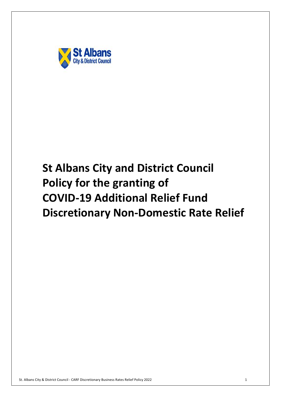

# **Discretionary Non-Domestic Rate Relief St Albans City and District Council Policy for the granting of COVID-19 Additional Relief Fund**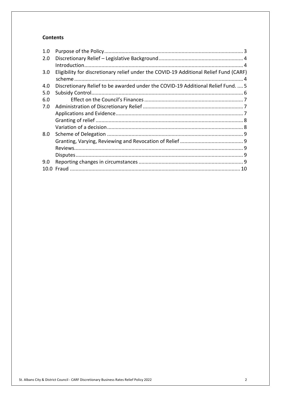#### **Contents**

| 1.0 |                                                                                       |  |
|-----|---------------------------------------------------------------------------------------|--|
| 2.0 |                                                                                       |  |
|     |                                                                                       |  |
| 3.0 | Eligibility for discretionary relief under the COVID-19 Additional Relief Fund (CARF) |  |
|     |                                                                                       |  |
| 4.0 | Discretionary Relief to be awarded under the COVID-19 Additional Relief Fund.  5      |  |
| 5.0 |                                                                                       |  |
| 6.0 |                                                                                       |  |
| 7.0 |                                                                                       |  |
|     |                                                                                       |  |
|     |                                                                                       |  |
|     |                                                                                       |  |
| 8.0 |                                                                                       |  |
|     |                                                                                       |  |
|     |                                                                                       |  |
|     |                                                                                       |  |
| 9.0 |                                                                                       |  |
|     |                                                                                       |  |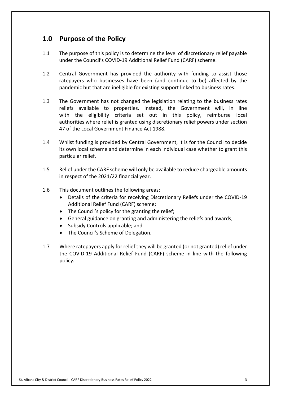## **1.0 Purpose of the Policy**

- $1.1$  under the Council's COVID-19 Additional Relief Fund (CARF) scheme. The purpose of this policy is to determine the level of discretionary relief payable
- $1.2$  ratepayers who businesses have been (and continue to be) affected by the pandemic but that are ineligible for existing support linked to business rates. Central Government has provided the authority with funding to assist those
- $1.3$  reliefs available to properties. Instead, the Government will, in line with the eligibility criteria set out in this policy, reimburse local authorities where relief is granted using discretionary relief powers under section 47 of the Local Government Finance Act 1988. The Government has not changed the legislation relating to the business rates
- 1.4 Whilst funding is provided by Central Government, it is for the Council to decide its own local scheme and determine in each individual case whether to grant this particular relief.
- $1.5$  in respect of the 2021/22 financial year. Relief under the CARF scheme will only be available to reduce chargeable amounts
- $1.6$ This document outlines the following areas:
	- • Details of the criteria for receiving Discretionary Reliefs under the COVID-19 Additional Relief Fund (CARF) scheme;
	- The Council's policy for the granting the relief;
	- General guidance on granting and administering the reliefs and awards;
	- Subsidy Controls applicable; and
	- The Council's Scheme of Delegation.
- 1.7 Where ratepayers apply for relief they will be granted (or not granted) relief under the COVID-19 Additional Relief Fund (CARF) scheme in line with the following policy.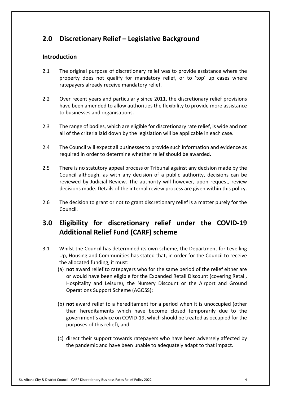# **2.0 Discretionary Relief – Legislative Background**

#### **Introduction**

- $2.1$  property does not qualify for mandatory relief, or to 'top' up cases where ratepayers already receive mandatory relief. 2.1 The original purpose of discretionary relief was to provide assistance where the
- $2.2$  have been amended to allow authorities the flexibility to provide more assistance to businesses and organisations. Over recent years and particularly since 2011, the discretionary relief provisions
- $2.3$  all of the criteria laid down by the legislation will be applicable in each case. The range of bodies, which are eligible for discretionary rate relief, is wide and not
- $2.4$  required in order to determine whether relief should be awarded. 2.4 The Council will expect all businesses to provide such information and evidence as
- $2.5$  Council although, as with any decision of a public authority, decisions can be reviewed by Judicial Review. The authority will however, upon request, review decisions made. Details of the internal review process are given within this policy. 2.5 There is no statutory appeal process or Tribunal against any decision made by the
- $2.6$  Council. The decision to grant or not to grant discretionary relief is a matter purely for the

# **3.0 Eligibility for discretionary relief under the COVID-19 Additional Relief Fund (CARF) scheme**

- 3.1 Whilst the Council has determined its own scheme, the Department for Levelling Up, Housing and Communities has stated that, in order for the Council to receive the allocated funding, it must:
	- (a) **not** award relief to ratepayers who for the same period of the relief either are or would have been eligible for the Expanded Retail Discount (covering Retail, Hospitality and Leisure), the Nursery Discount or the Airport and Ground Operations Support Scheme (AGOSS);
	- (b) **not** award relief to a hereditament for a period when it is unoccupied (other than hereditaments which have become closed temporarily due to the government's advice on COVID-19, which should be treated as occupied for the purposes of this relief), and
	- (c) direct their support towards ratepayers who have been adversely affected by the pandemic and have been unable to adequately adapt to that impact.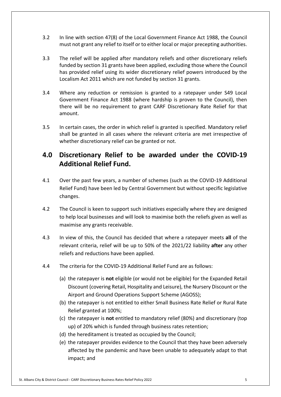- $3.2$  must not grant any relief to itself or to either local or major precepting authorities. In line with section 47(8) of the Local Government Finance Act 1988, the Council
- $3.3$  funded by section 31 grants have been applied, excluding those where the Council Localism Act 2011 which are not funded by section 31 grants. The relief will be applied after mandatory reliefs and other discretionary reliefs has provided relief using its wider discretionary relief powers introduced by the
- $3.4$  Government Finance Act 1988 (where hardship is proven to the Council), then there will be no requirement to grant CARF Discretionary Rate Relief for that amount. 3.4 Where any reduction or remission is granted to a ratepayer under S49 Local
- $3.5$  shall be granted in all cases where the relevant criteria are met irrespective of whether discretionary relief can be granted or not. In certain cases, the order in which relief is granted is specified. Mandatory relief

# **4.0 Discretionary Relief to be awarded under the COVID-19 Additional Relief Fund.**

- $4.1$  Relief Fund) have been led by Central Government but without specific legislative changes. Over the past few years, a number of schemes (such as the COVID-19 Additional
- $4.2$  to help local businesses and will look to maximise both the reliefs given as well as maximise any grants receivable. The Council is keen to support such initiatives especially where they are designed
- $4.3$  relevant criteria, relief will be up to 50% of the 2021/22 liability **after** any other reliefs and reductions have been applied. 4.3 In view of this, the Council has decided that where a ratepayer meets **all** of the
- $4.4$ The criteria for the COVID-19 Additional Relief Fund are as follows:
	- (a) the ratepayer is **not** eligible (or would not be eligible) for the Expanded Retail Discount (covering Retail, Hospitality and Leisure), the Nursery Discount or the Airport and Ground Operations Support Scheme (AGOSS);
	- (b) the ratepayer is not entitled to either Small Business Rate Relief or Rural Rate Relief granted at 100%;
	- (c) the ratepayer is **not** entitled to mandatory relief (80%) and discretionary (top up) of 20% which is funded through business rates retention;
	- (d) the hereditament is treated as occupied by the Council;
	- (e) the ratepayer provides evidence to the Council that they have been adversely affected by the pandemic and have been unable to adequately adapt to that impact; and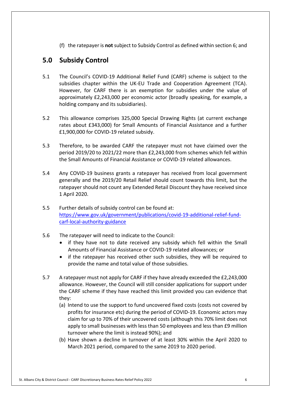(f) the ratepayer is **not** subject to Subsidy Control as defined within section 6; and

## **5.0 Subsidy Control**

- 5.1 The Council's COVID-19 Additional Relief Fund (CARF) scheme is subject to the subsidies chapter within the UK-EU Trade and Cooperation Agreement (TCA). However, for CARF there is an exemption for subsidies under the value of approximately £2,243,000 per economic actor (broadly speaking, for example, a holding company and its subsidiaries).
- $5.2$  rates about £343,000) for Small Amounts of Financial Assistance and a further £1,900,000 for COVID-19 related subsidy. This allowance comprises 325,000 Special Drawing Rights (at current exchange
- 5.3 Therefore, to be awarded CARF the ratepayer must not have claimed over the period 2019/20 to 2021/22 more than £2,243,000 from schemes which fell within the Small Amounts of Financial Assistance or COVID-19 related allowances.
- 5.4 Any COVID-19 business grants a ratepayer has received from local government generally and the 2019/20 Retail Relief should count towards this limit, but the ratepayer should not count any Extended Retail Discount they have received since 1 April 2020.
- $5.5$ carf-local-authority-guidance Further details of subsidy control can be found at: [https://www.gov.uk/government/publications/covid-19-additional-relief-fund-](https://www.gov.uk/government/publications/covid-19-additional-relief-fund)
- $5.6$ The ratepayer will need to indicate to the Council:
	- • if they have not to date received any subsidy which fell within the Small Amounts of Financial Assistance or COVID-19 related allowances; or
	- • if the ratepayer has received other such subsidies, they will be required to provide the name and total value of those subsidies.
- $5.7$  allowance. However, the Council will still consider applications for support under the CARF scheme if they have reached this limit provided you can evidence that 5.7 A ratepayer must not apply for CARF if they have already exceeded the £2,243,000 they:
	- (a) Intend to use the support to fund uncovered fixed costs (costs not covered by profits for insurance etc) during the period of COVID-19. Economic actors may claim for up to 70% of their uncovered costs (although this 70% limit does not apply to small businesses with less than 50 employees and less than £9 million turnover where the limit is instead 90%); and
	- (b) Have shown a decline in turnover of at least 30% within the April 2020 to March 2021 period, compared to the same 2019 to 2020 period.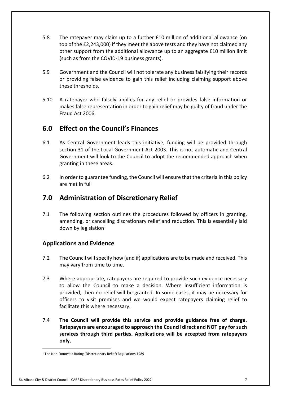- $5.8$  top of the £2,243,000) if they meet the above tests and they have not claimed any other support from the additional allowance up to an aggregate £10 million limit (such as from the COVID-19 business grants). The ratepayer may claim up to a further £10 million of additional allowance (on
- 5.9 Government and the Council will not tolerate any business falsifying their records or providing false evidence to gain this relief including claiming support above these thresholds.
- $5.10$  makes false representation in order to gain relief may be guilty of fraud under the Fraud Act 2006. 5.10 A ratepayer who falsely applies for any relief or provides false information or

## **6.0 Effect on the Council's Finances**

- 6.1 As Central Government leads this initiative, funding will be provided through section 31 of the Local Government Act 2003. This is not automatic and Central Government will look to the Council to adopt the recommended approach when granting in these areas.
- $6.2$  are met in full In order to guarantee funding, the Council will ensure that the criteria in this policy

## **7.0 Administration of Discretionary Relief**

 $7.1$  amending, or cancelling discretionary relief and reduction. This is essentially laid down by legislation $1$ The following section outlines the procedures followed by officers in granting,

### **Applications and Evidence**

- 7.2 The Council will specify how (and if) applications are to be made and received. This may vary from time to time.
- $7.3$  to allow the Council to make a decision. Where insufficient information is provided, then no relief will be granted. In some cases, it may be necessary for officers to visit premises and we would expect ratepayers claiming relief to facilitate this where necessary. Where appropriate, ratepayers are required to provide such evidence necessary
- 7.4 **The Council will provide this service and provide guidance free of charge. Ratepayers are encouraged to approach the Council direct and NOT pay for such services through third parties. Applications will be accepted from ratepayers only.**

<sup>&</sup>lt;sup>1</sup> The Non-Domestic Rating (Discretionary Relief) Regulations 1989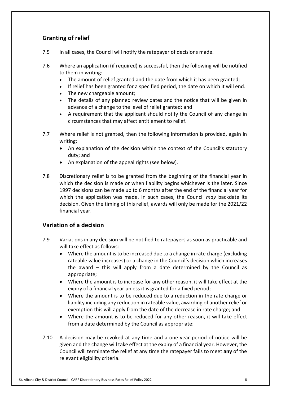## **Granting of relief**

- $7.5$ In all cases, the Council will notify the ratepayer of decisions made.
- $7.6$  to them in writing: 7.6 Where an application (if required) is successful, then the following will be notified
	- The amount of relief granted and the date from which it has been granted;
	- If relief has been granted for a specified period, the date on which it will end.
	- The new chargeable amount;
	- • The details of any planned review dates and the notice that will be given in advance of a change to the level of relief granted; and
	- • A requirement that the applicant should notify the Council of any change in circumstances that may affect entitlement to relief.
- $7.7$ Where relief is not granted, then the following information is provided, again in writing:
	- • An explanation of the decision within the context of the Council's statutory duty; and
	- An explanation of the appeal rights (see below).
- 7.8 Discretionary relief is to be granted from the beginning of the financial year in which the decision is made or when liability begins whichever is the later. Since 1997 decisions can be made up to 6 months after the end of the financial year for which the application was made. In such cases, the Council *may* backdate its decision. Given the timing of this relief, awards will only be made for the 2021/22 financial year.

### **Variation of a decision**

- 7.9 Variations in any decision will be notified to ratepayers as soon as practicable and will take effect as follows:
	- • Where the amount is to be increased due to a change in rate charge (excluding rateable value increases) or a change in the Council's decision which increases the award – this will apply from a date determined by the Council as appropriate;
	- • Where the amount is to increase for any other reason, it will take effect at the expiry of a financial year unless it is granted for a fixed period;
	- • Where the amount is to be reduced due to a reduction in the rate charge or liability including any reduction in rateable value, awarding of another relief or exemption this will apply from the date of the decrease in rate charge; and
	- • Where the amount is to be reduced for any other reason, it will take effect from a date determined by the Council as appropriate;
- $7.10$  given and the change will take effect at the expiry of a financial year. However, the Council will terminate the relief at any time the ratepayer fails to meet **any** of the relevant eligibility criteria. A decision may be revoked at any time and a one-year period of notice will be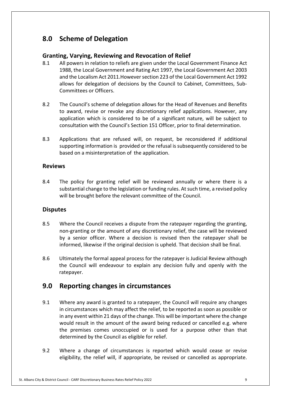## **8.0 Scheme of Delegation**

## **Granting, Varying, Reviewing and Revocation of Relief**

- 8.1 1988, the Local Government and Rating Act 1997, the Local Government Act 2003 and the Localism Act 2011.However section 223 of the Local Government Act 1992 allows for delegation of decisions by the Council to Cabinet, Committees, Sub- Committees or Officers. 8.1 All powers in relation to reliefs are given under the Local Government Finance Act
- 8.2 The Council's scheme of delegation allows for the Head of Revenues and Benefits to award, revise or revoke any discretionary relief applications. However, any application which is considered to be of a significant nature, will be subject to consultation with the Council's Section 151 Officer, prior to final determination.
- 8.3 Applications that are refused will, on request, be reconsidered if additional supporting information is provided or the refusal is subsequently considered to be based on a misinterpretation of the application.

#### **Reviews**

8.4 substantial change to the legislation or funding rules. At such time, a revised policy will be brought before the relevant committee of the Council. The policy for granting relief will be reviewed annually or where there is a

#### **Disputes**

- 8.5 non-granting or the amount of any discretionary relief, the case will be reviewed by a senior officer. Where a decision is revised then the ratepayer shall be informed, likewise if the original decision is upheld. That decision shall be final. Where the Council receives a dispute from the ratepayer regarding the granting,
- 8.6 Ultimately the formal appeal process for the ratepayer is Judicial Review although the Council will endeavour to explain any decision fully and openly with the ratepayer.

## **9.0 Reporting changes in circumstances**

- $9.1$  in circumstances which may affect the relief, to be reported as soon as possible or in any event within 21 days of the change. This will be important where the change would result in the amount of the award being reduced or cancelled e.g. where the premises comes unoccupied or is used for a purpose other than that determined by the Council as eligible for relief. Where any award is granted to a ratepayer, the Council will require any changes
- $9.2$  eligibility, the relief will, if appropriate, be revised or cancelled as appropriate. Where a change of circumstances is reported which would cease or revise